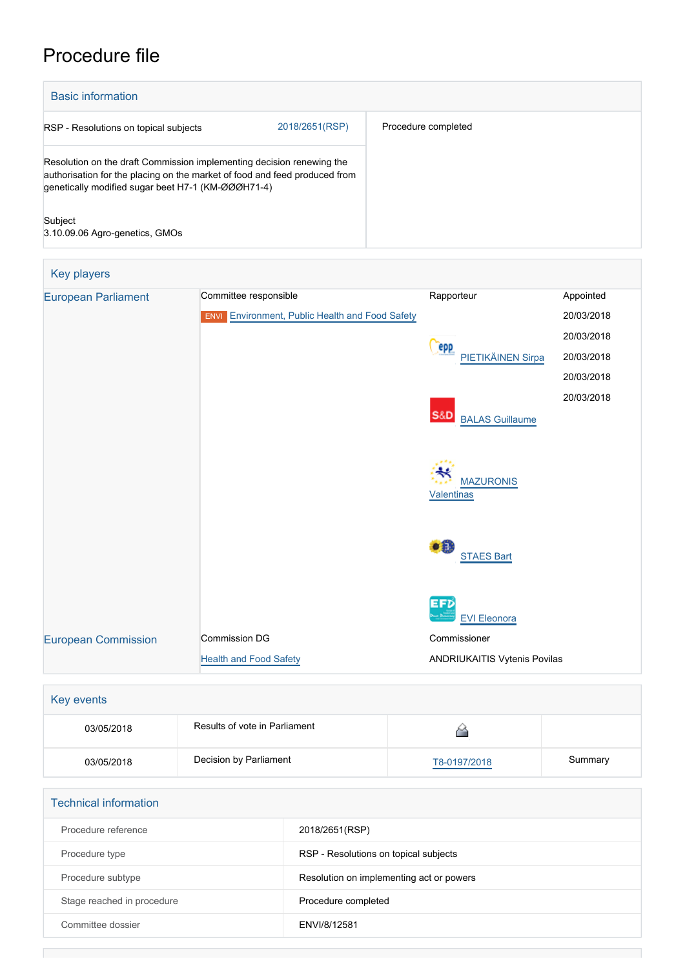## Procedure file



| Key players                |                                                        |                                          |            |
|----------------------------|--------------------------------------------------------|------------------------------------------|------------|
| <b>European Parliament</b> | Committee responsible                                  | Rapporteur                               | Appointed  |
|                            | <b>ENVI</b> Environment, Public Health and Food Safety |                                          | 20/03/2018 |
|                            |                                                        |                                          | 20/03/2018 |
|                            |                                                        | epp<br>PIETIKÄINEN Sirpa                 | 20/03/2018 |
|                            |                                                        |                                          | 20/03/2018 |
|                            |                                                        |                                          | 20/03/2018 |
|                            |                                                        | <b>S&amp;D</b><br><b>BALAS Guillaume</b> |            |
|                            |                                                        |                                          |            |
|                            |                                                        |                                          |            |
|                            |                                                        | <b>MAZURONIS</b>                         |            |
|                            |                                                        | <b>Valentinas</b>                        |            |
|                            |                                                        |                                          |            |
|                            |                                                        | ٥Ĥ                                       |            |
|                            |                                                        | <b>STAES Bart</b>                        |            |
|                            |                                                        |                                          |            |
|                            |                                                        | <b>EFD</b>                               |            |
|                            |                                                        | <b>EVI Eleonora</b>                      |            |
| <b>European Commission</b> | Commission DG                                          | Commissioner                             |            |
|                            | <b>Health and Food Safety</b>                          | ANDRIUKAITIS Vytenis Povilas             |            |
|                            |                                                        |                                          |            |

| Key events |                               |              |         |  |  |
|------------|-------------------------------|--------------|---------|--|--|
| 03/05/2018 | Results of vote in Parliament |              |         |  |  |
| 03/05/2018 | Decision by Parliament        | T8-0197/2018 | Summary |  |  |

| <b>Technical information</b> |                                          |  |  |  |
|------------------------------|------------------------------------------|--|--|--|
| Procedure reference          | 2018/2651(RSP)                           |  |  |  |
| Procedure type               | RSP - Resolutions on topical subjects    |  |  |  |
| Procedure subtype            | Resolution on implementing act or powers |  |  |  |
| Stage reached in procedure   | Procedure completed                      |  |  |  |
| Committee dossier            | ENVI/8/12581                             |  |  |  |